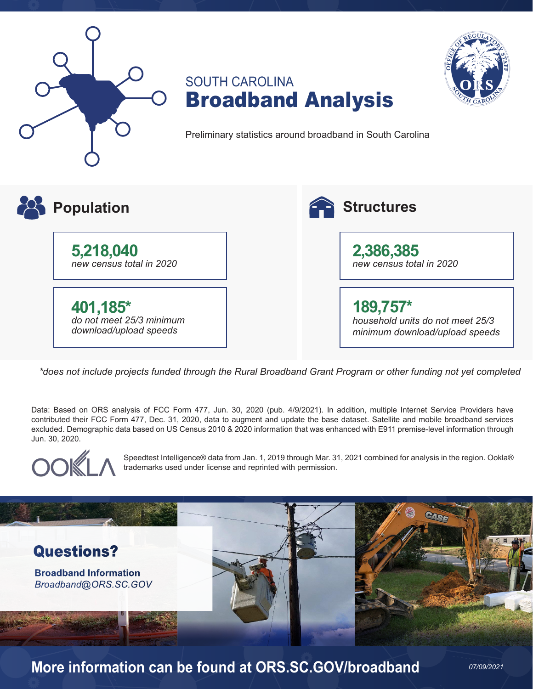





*07/09/2021*

Preliminary statistics around broadband in South Carolina



*\*does not include projects funded through the Rural Broadband Grant Program or other funding not yet completed*

Data: Based on ORS analysis of FCC Form 477, Jun. 30, 2020 (pub. 4/9/2021). In addition, multiple Internet Service Providers have contributed their FCC Form 477, Dec. 31, 2020, data to augment and update the base dataset. Satellite and mobile broadband services excluded. Demographic data based on US Census 2010 & 2020 information that was enhanced with E911 premise-level information through Jun. 30, 2020.



Speedtest Intelligence® data from Jan. 1, 2019 through Mar. 31, 2021 combined for analysis in the region. Ookla® trademarks used under license and reprinted with permission.



**More information can be found at ORS.SC.GOV/broadband**